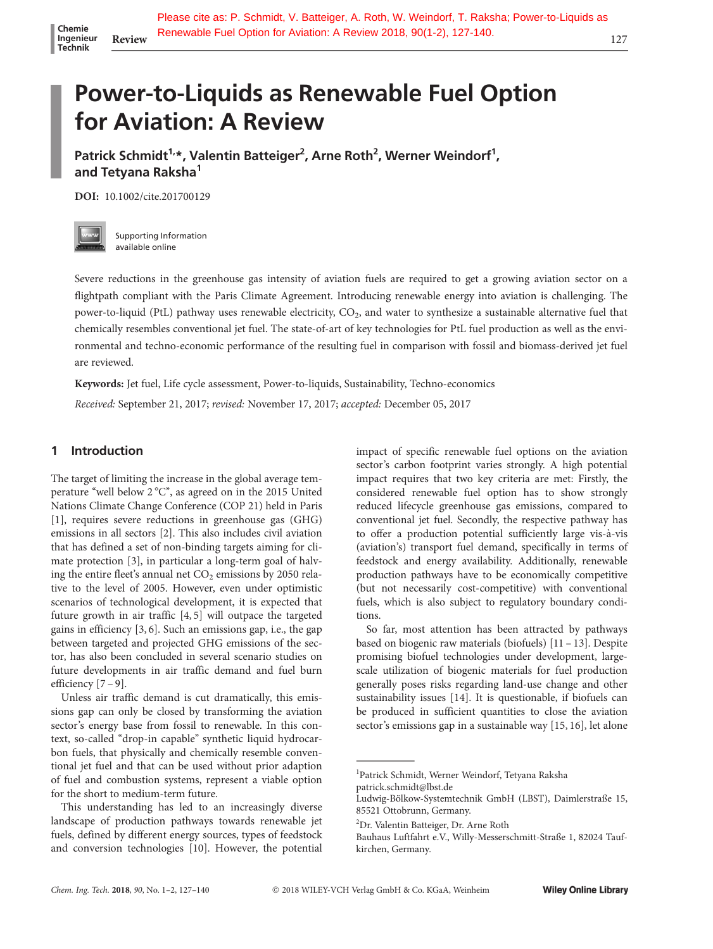# Power-to-Liquids as Renewable Fuel Option for Aviation: A Review

Patrick Schmidt<sup>1,</sup>\*, Valentin Batteiger<sup>2</sup>, Arne Roth<sup>2</sup>, Werner Weindorf<sup>1</sup>, and Tetyana Raksha<sup>1</sup>

DOI: 10.1002/cite.201700129



Supporting Information available online

Severe reductions in the greenhouse gas intensity of aviation fuels are required to get a growing aviation sector on a flightpath compliant with the Paris Climate Agreement. Introducing renewable energy into aviation is challenging. The power-to-liquid (PtL) pathway uses renewable electricity, CO2, and water to synthesize a sustainable alternative fuel that chemically resembles conventional jet fuel. The state-of-art of key technologies for PtL fuel production as well as the environmental and techno-economic performance of the resulting fuel in comparison with fossil and biomass-derived jet fuel are reviewed.

Keywords: Jet fuel, Life cycle assessment, Power-to-liquids, Sustainability, Techno-economics

Received: September 21, 2017; revised: November 17, 2017; accepted: December 05, 2017

#### 1 Introduction

The target of limiting the increase in the global average temperature "well below 2 °C", as agreed on in the 2015 United Nations Climate Change Conference (COP 21) held in Paris [1], requires severe reductions in greenhouse gas (GHG) emissions in all sectors [2]. This also includes civil aviation that has defined a set of non-binding targets aiming for climate protection [3], in particular a long-term goal of halving the entire fleet's annual net  $CO<sub>2</sub>$  emissions by 2050 relative to the level of 2005. However, even under optimistic scenarios of technological development, it is expected that future growth in air traffic [4, 5] will outpace the targeted gains in efficiency [3, 6]. Such an emissions gap, i.e., the gap between targeted and projected GHG emissions of the sector, has also been concluded in several scenario studies on future developments in air traffic demand and fuel burn efficiency [7 – 9].

Unless air traffic demand is cut dramatically, this emissions gap can only be closed by transforming the aviation sector's energy base from fossil to renewable. In this context, so-called "drop-in capable" synthetic liquid hydrocarbon fuels, that physically and chemically resemble conventional jet fuel and that can be used without prior adaption of fuel and combustion systems, represent a viable option for the short to medium-term future.

This understanding has led to an increasingly diverse landscape of production pathways towards renewable jet fuels, defined by different energy sources, types of feedstock and conversion technologies [10]. However, the potential impact of specific renewable fuel options on the aviation sector's carbon footprint varies strongly. A high potential impact requires that two key criteria are met: Firstly, the considered renewable fuel option has to show strongly reduced lifecycle greenhouse gas emissions, compared to conventional jet fuel. Secondly, the respective pathway has to offer a production potential sufficiently large vis-à-vis (aviation's) transport fuel demand, specifically in terms of feedstock and energy availability. Additionally, renewable production pathways have to be economically competitive (but not necessarily cost-competitive) with conventional fuels, which is also subject to regulatory boundary conditions.

So far, most attention has been attracted by pathways based on biogenic raw materials (biofuels) [11 – 13]. Despite promising biofuel technologies under development, largescale utilization of biogenic materials for fuel production generally poses risks regarding land-use change and other sustainability issues [14]. It is questionable, if biofuels can be produced in sufficient quantities to close the aviation sector's emissions gap in a sustainable way [15, 16], let alone scale utilization<br>generally pose<br>sustainability<br>be produced<br>sector's emissi<br>and a leading particle schmid<br>patrick schmid<br>Ludwig-Bölkow

<sup>1</sup> Patrick Schmidt, Werner Weindorf, Tetyana Raksha

patrick.schmidt@lbst.de

Ludwig-Bölkow-Systemtechnik GmbH (LBST), Daimlerstraße 15, 85521 Ottobrunn, Germany.

<sup>2</sup> Dr. Valentin Batteiger, Dr. Arne Roth

Bauhaus Luftfahrt e.V., Willy-Messerschmitt-Straße 1, 82024 Taufkirchen, Germany.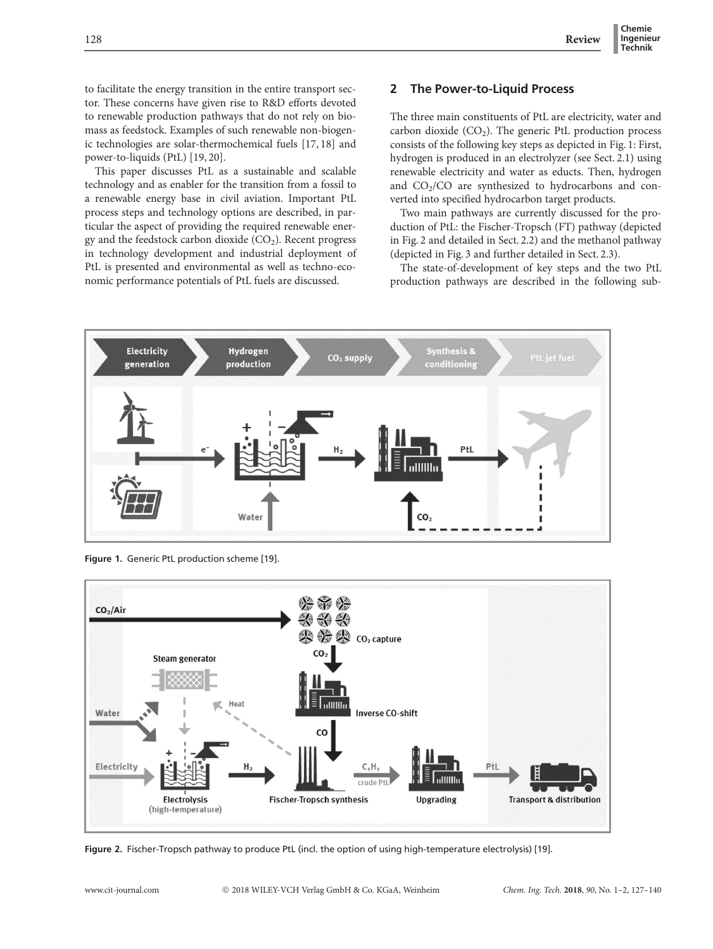to facilitate the energy transition in the entire transport sector. These concerns have given rise to R&D efforts devoted to renewable production pathways that do not rely on biomass as feedstock. Examples of such renewable non-biogenic technologies are solar-thermochemical fuels [17, 18] and power-to-liquids (PtL) [19, 20].

This paper discusses PtL as a sustainable and scalable technology and as enabler for the transition from a fossil to a renewable energy base in civil aviation. Important PtL process steps and technology options are described, in particular the aspect of providing the required renewable energy and the feedstock carbon dioxide  $(CO<sub>2</sub>)$ . Recent progress in technology development and industrial deployment of PtL is presented and environmental as well as techno-economic performance potentials of PtL fuels are discussed.

## 2 The Power-to-Liquid Process

The three main constituents of PtL are electricity, water and carbon dioxide  $(CO_2)$ . The generic PtL production process consists of the following key steps as depicted in Fig. 1: First, hydrogen is produced in an electrolyzer (see Sect. 2.1) using renewable electricity and water as educts. Then, hydrogen and  $CO<sub>2</sub>/CO$  are synthesized to hydrocarbons and converted into specified hydrocarbon target products.

Two main pathways are currently discussed for the production of PtL: the Fischer-Tropsch (FT) pathway (depicted in Fig. 2 and detailed in Sect. 2.2) and the methanol pathway (depicted in Fig. 3 and further detailed in Sect. 2.3).

The state-of-development of key steps and the two PtL production pathways are described in the following sub-



Figure 1. Generic PtL production scheme [19].



Figure 2. Fischer-Tropsch pathway to produce PtL (incl. the option of using high-temperature electrolysis) [19].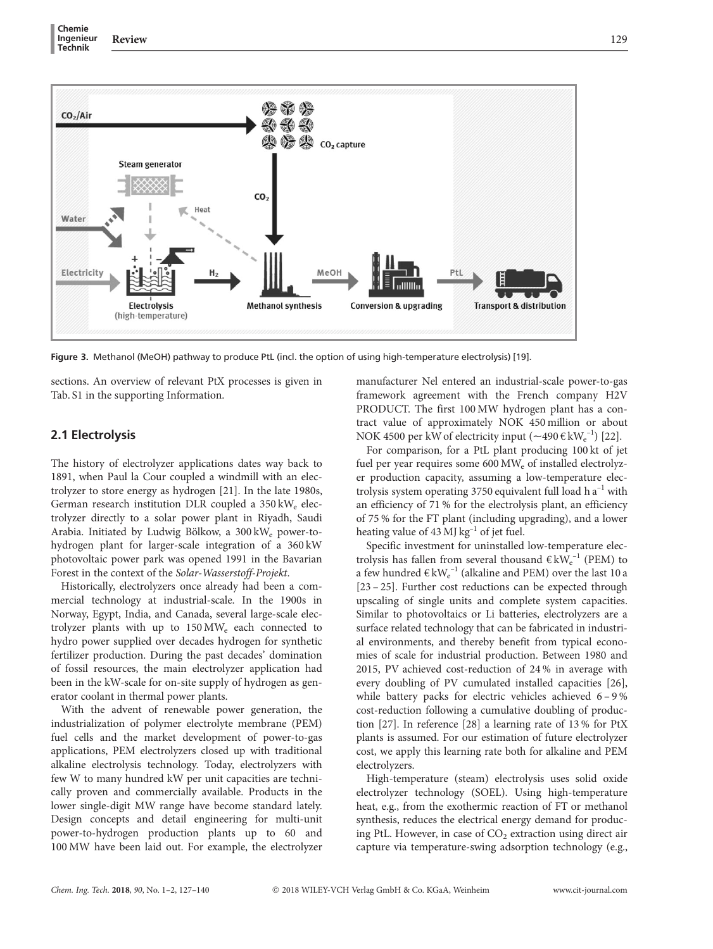

Figure 3. Methanol (MeOH) pathway to produce PtL (incl. the option of using high-temperature electrolysis) [19].

sections. An overview of relevant PtX processes is given in Tab. S1 in the supporting Information.

#### 2.1 Electrolysis

The history of electrolyzer applications dates way back to 1891, when Paul la Cour coupled a windmill with an electrolyzer to store energy as hydrogen [21]. In the late 1980s, German research institution DLR coupled a 350 kW<sub>e</sub> electrolyzer directly to a solar power plant in Riyadh, Saudi Arabia. Initiated by Ludwig Bölkow, a 300 kW<sub>e</sub> power-tohydrogen plant for larger-scale integration of a 360 kW photovoltaic power park was opened 1991 in the Bavarian Forest in the context of the Solar-Wasserstoff-Projekt.

Historically, electrolyzers once already had been a commercial technology at industrial-scale. In the 1900s in Norway, Egypt, India, and Canada, several large-scale electrolyzer plants with up to 150 MWe each connected to hydro power supplied over decades hydrogen for synthetic fertilizer production. During the past decades' domination of fossil resources, the main electrolyzer application had been in the kW-scale for on-site supply of hydrogen as generator coolant in thermal power plants.

With the advent of renewable power generation, the industrialization of polymer electrolyte membrane (PEM) fuel cells and the market development of power-to-gas applications, PEM electrolyzers closed up with traditional alkaline electrolysis technology. Today, electrolyzers with few W to many hundred kW per unit capacities are technically proven and commercially available. Products in the lower single-digit MW range have become standard lately. Design concepts and detail engineering for multi-unit power-to-hydrogen production plants up to 60 and 100 MW have been laid out. For example, the electrolyzer manufacturer Nel entered an industrial-scale power-to-gas framework agreement with the French company H2V PRODUCT. The first 100 MW hydrogen plant has a contract value of approximately NOK 450 million or about NOK 4500 per kW of electricity input  $(\sim 490 \text{ E kW}^{-1}_e)$  [22].

For comparison, for a PtL plant producing 100 kt of jet fuel per year requires some 600 MW<sub>e</sub> of installed electrolyzer production capacity, assuming a low-temperature electrolysis system operating 3750 equivalent full load h  $a^{-1}$  with an efficiency of 71 % for the electrolysis plant, an efficiency of 75 % for the FT plant (including upgrading), and a lower heating value of 43 MJ  $kg^{-1}$  of jet fuel.

Specific investment for uninstalled low-temperature electrolysis has fallen from several thousand  $\epsilon kW_e^{-1}$  (PEM) to a few hundred  $\text{E}\,\text{kW}_{\text{e}}^{-1}$  (alkaline and PEM) over the last 10 a [23 – 25]. Further cost reductions can be expected through upscaling of single units and complete system capacities. Similar to photovoltaics or Li batteries, electrolyzers are a surface related technology that can be fabricated in industrial environments, and thereby benefit from typical economies of scale for industrial production. Between 1980 and 2015, PV achieved cost-reduction of 24 % in average with every doubling of PV cumulated installed capacities [26], while battery packs for electric vehicles achieved 6 – 9 % cost-reduction following a cumulative doubling of production [27]. In reference [28] a learning rate of 13 % for PtX plants is assumed. For our estimation of future electrolyzer cost, we apply this learning rate both for alkaline and PEM electrolyzers.

High-temperature (steam) electrolysis uses solid oxide electrolyzer technology (SOEL). Using high-temperature heat, e.g., from the exothermic reaction of FT or methanol synthesis, reduces the electrical energy demand for producing PtL. However, in case of  $CO<sub>2</sub>$  extraction using direct air capture via temperature-swing adsorption technology (e.g.,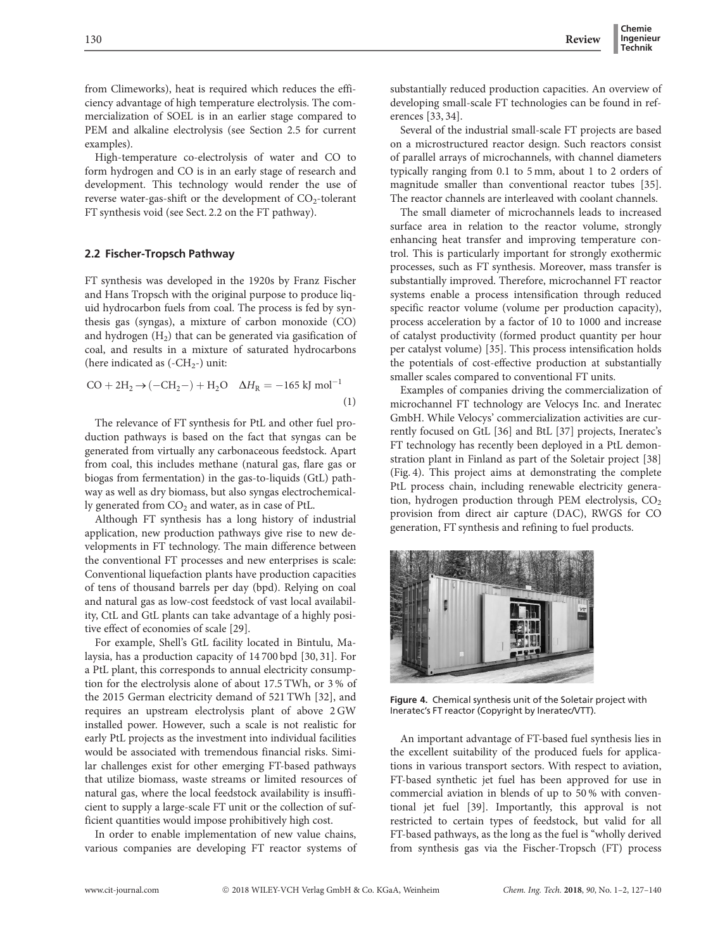from Climeworks), heat is required which reduces the efficiency advantage of high temperature electrolysis. The commercialization of SOEL is in an earlier stage compared to PEM and alkaline electrolysis (see Section 2.5 for current examples).

High-temperature co-electrolysis of water and CO to form hydrogen and CO is in an early stage of research and development. This technology would render the use of reverse water-gas-shift or the development of  $CO_2$ -tolerant FT synthesis void (see Sect. 2.2 on the FT pathway).

#### 2.2 Fischer-Tropsch Pathway

FT synthesis was developed in the 1920s by Franz Fischer and Hans Tropsch with the original purpose to produce liquid hydrocarbon fuels from coal. The process is fed by synthesis gas (syngas), a mixture of carbon monoxide (CO) and hydrogen  $(H_2)$  that can be generated via gasification of coal, and results in a mixture of saturated hydrocarbons (here indicated as  $(-CH<sub>2</sub>-)$  unit:

$$
CO + 2H_2 \to (-CH_2-) + H_2O \quad \Delta H_R = -165 \text{ kJ mol}^{-1}
$$
\n(1)

The relevance of FT synthesis for PtL and other fuel production pathways is based on the fact that syngas can be generated from virtually any carbonaceous feedstock. Apart from coal, this includes methane (natural gas, flare gas or biogas from fermentation) in the gas-to-liquids (GtL) pathway as well as dry biomass, but also syngas electrochemically generated from  $CO<sub>2</sub>$  and water, as in case of PtL.

Although FT synthesis has a long history of industrial application, new production pathways give rise to new developments in FT technology. The main difference between the conventional FT processes and new enterprises is scale: Conventional liquefaction plants have production capacities of tens of thousand barrels per day (bpd). Relying on coal and natural gas as low-cost feedstock of vast local availability, CtL and GtL plants can take advantage of a highly positive effect of economies of scale [29].

For example, Shell's GtL facility located in Bintulu, Malaysia, has a production capacity of 14 700 bpd [30, 31]. For a PtL plant, this corresponds to annual electricity consumption for the electrolysis alone of about 17.5 TWh, or 3 % of the 2015 German electricity demand of 521 TWh [32], and requires an upstream electrolysis plant of above 2 GW installed power. However, such a scale is not realistic for early PtL projects as the investment into individual facilities would be associated with tremendous financial risks. Similar challenges exist for other emerging FT-based pathways that utilize biomass, waste streams or limited resources of natural gas, where the local feedstock availability is insufficient to supply a large-scale FT unit or the collection of sufficient quantities would impose prohibitively high cost.

In order to enable implementation of new value chains, various companies are developing FT reactor systems of substantially reduced production capacities. An overview of developing small-scale FT technologies can be found in references [33, 34].

Several of the industrial small-scale FT projects are based on a microstructured reactor design. Such reactors consist of parallel arrays of microchannels, with channel diameters typically ranging from 0.1 to 5 mm, about 1 to 2 orders of magnitude smaller than conventional reactor tubes [35]. The reactor channels are interleaved with coolant channels.

The small diameter of microchannels leads to increased surface area in relation to the reactor volume, strongly enhancing heat transfer and improving temperature control. This is particularly important for strongly exothermic processes, such as FT synthesis. Moreover, mass transfer is substantially improved. Therefore, microchannel FT reactor systems enable a process intensification through reduced specific reactor volume (volume per production capacity), process acceleration by a factor of 10 to 1000 and increase of catalyst productivity (formed product quantity per hour per catalyst volume) [35]. This process intensification holds the potentials of cost-effective production at substantially smaller scales compared to conventional FT units.

Examples of companies driving the commercialization of microchannel FT technology are Velocys Inc. and Ineratec GmbH. While Velocys' commercialization activities are currently focused on GtL [36] and BtL [37] projects, Ineratec's FT technology has recently been deployed in a PtL demonstration plant in Finland as part of the Soletair project [38] (Fig. 4). This project aims at demonstrating the complete PtL process chain, including renewable electricity generation, hydrogen production through PEM electrolysis,  $CO<sub>2</sub>$ provision from direct air capture (DAC), RWGS for CO generation, FT synthesis and refining to fuel products.



Figure 4. Chemical synthesis unit of the Soletair project with Ineratec's FT reactor (Copyright by Ineratec/VTT).

An important advantage of FT-based fuel synthesis lies in the excellent suitability of the produced fuels for applications in various transport sectors. With respect to aviation, FT-based synthetic jet fuel has been approved for use in commercial aviation in blends of up to 50 % with conventional jet fuel [39]. Importantly, this approval is not restricted to certain types of feedstock, but valid for all FT-based pathways, as the long as the fuel is ''wholly derived from synthesis gas via the Fischer-Tropsch (FT) process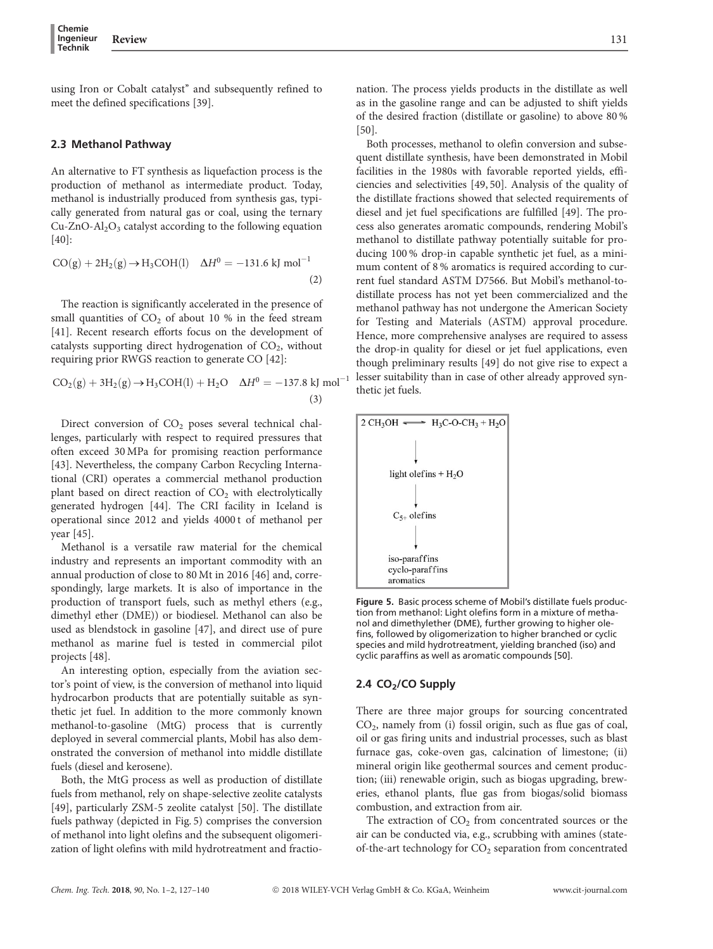using Iron or Cobalt catalyst'' and subsequently refined to meet the defined specifications [39].

#### 2.3 Methanol Pathway

An alternative to FT synthesis as liquefaction process is the production of methanol as intermediate product. Today, methanol is industrially produced from synthesis gas, typically generated from natural gas or coal, using the ternary  $Cu-ZnO-Al<sub>2</sub>O<sub>3</sub>$  catalyst according to the following equation  $[40]$ :

$$
CO(g) + 2H2(g) \rightarrow H3COH(l) \quad \Delta H0 = -131.6 \text{ kJ mol}^{-1}
$$
\n(2)

The reaction is significantly accelerated in the presence of small quantities of  $CO<sub>2</sub>$  of about 10 % in the feed stream [41]. Recent research efforts focus on the development of catalysts supporting direct hydrogenation of  $CO<sub>2</sub>$ , without requiring prior RWGS reaction to generate CO [42]:

$$
CO_2(g) + 3H_2(g) \rightarrow H_3COH(l) + H_2O \quad \Delta H^0 = -137.8 \text{ kJ mol}^{-1}
$$
  
(3)

Direct conversion of  $CO<sub>2</sub>$  poses several technical challenges, particularly with respect to required pressures that often exceed 30 MPa for promising reaction performance [43]. Nevertheless, the company Carbon Recycling International (CRI) operates a commercial methanol production plant based on direct reaction of  $CO<sub>2</sub>$  with electrolytically generated hydrogen [44]. The CRI facility in Iceland is operational since 2012 and yields 4000 t of methanol per year [45].

Methanol is a versatile raw material for the chemical industry and represents an important commodity with an annual production of close to 80 Mt in 2016 [46] and, correspondingly, large markets. It is also of importance in the production of transport fuels, such as methyl ethers (e.g., dimethyl ether (DME)) or biodiesel. Methanol can also be used as blendstock in gasoline [47], and direct use of pure methanol as marine fuel is tested in commercial pilot projects [48].

An interesting option, especially from the aviation sector's point of view, is the conversion of methanol into liquid hydrocarbon products that are potentially suitable as synthetic jet fuel. In addition to the more commonly known methanol-to-gasoline (MtG) process that is currently deployed in several commercial plants, Mobil has also demonstrated the conversion of methanol into middle distillate fuels (diesel and kerosene).

Both, the MtG process as well as production of distillate fuels from methanol, rely on shape-selective zeolite catalysts [49], particularly ZSM-5 zeolite catalyst [50]. The distillate fuels pathway (depicted in Fig. 5) comprises the conversion of methanol into light olefins and the subsequent oligomerization of light olefins with mild hydrotreatment and fractionation. The process yields products in the distillate as well as in the gasoline range and can be adjusted to shift yields of the desired fraction (distillate or gasoline) to above 80 % [50].

Both processes, methanol to olefin conversion and subsequent distillate synthesis, have been demonstrated in Mobil facilities in the 1980s with favorable reported yields, efficiencies and selectivities [49, 50]. Analysis of the quality of the distillate fractions showed that selected requirements of diesel and jet fuel specifications are fulfilled [49]. The process also generates aromatic compounds, rendering Mobil's methanol to distillate pathway potentially suitable for producing 100 % drop-in capable synthetic jet fuel, as a minimum content of 8 % aromatics is required according to current fuel standard ASTM D7566. But Mobil's methanol-todistillate process has not yet been commercialized and the methanol pathway has not undergone the American Society for Testing and Materials (ASTM) approval procedure. Hence, more comprehensive analyses are required to assess the drop-in quality for diesel or jet fuel applications, even though preliminary results [49] do not give rise to expect a lesser suitability than in case of other already approved synthetic jet fuels.



Figure 5. Basic process scheme of Mobil's distillate fuels production from methanol: Light olefins form in a mixture of methanol and dimethylether (DME), further growing to higher olefins, followed by oligomerization to higher branched or cyclic species and mild hydrotreatment, yielding branched (iso) and cyclic paraffins as well as aromatic compounds [50].

#### 2.4 CO<sub>2</sub>/CO Supply

There are three major groups for sourcing concentrated CO2, namely from (i) fossil origin, such as flue gas of coal, oil or gas firing units and industrial processes, such as blast furnace gas, coke-oven gas, calcination of limestone; (ii) mineral origin like geothermal sources and cement production; (iii) renewable origin, such as biogas upgrading, breweries, ethanol plants, flue gas from biogas/solid biomass combustion, and extraction from air.

The extraction of  $CO<sub>2</sub>$  from concentrated sources or the air can be conducted via, e.g., scrubbing with amines (stateof-the-art technology for CO<sub>2</sub> separation from concentrated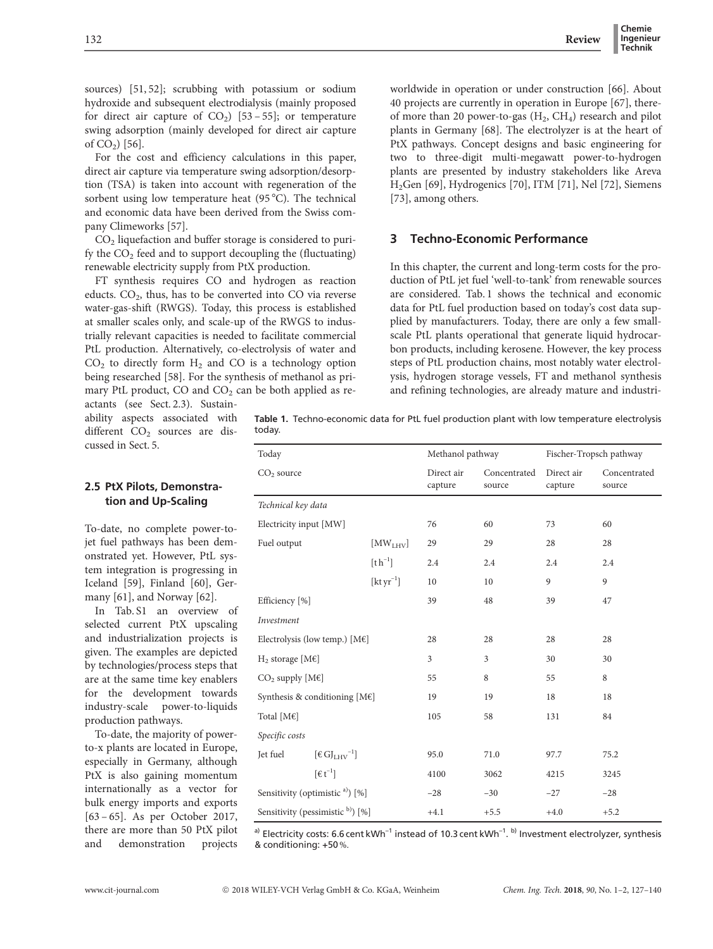sources) [51, 52]; scrubbing with potassium or sodium hydroxide and subsequent electrodialysis (mainly proposed for direct air capture of  $CO<sub>2</sub>$ ) [53 – 55]; or temperature swing adsorption (mainly developed for direct air capture of  $CO<sub>2</sub>$ ) [56].

For the cost and efficiency calculations in this paper, direct air capture via temperature swing adsorption/desorption (TSA) is taken into account with regeneration of the sorbent using low temperature heat (95 °C). The technical and economic data have been derived from the Swiss company Climeworks [57].

 $CO<sub>2</sub>$  liquefaction and buffer storage is considered to purify the  $CO<sub>2</sub>$  feed and to support decoupling the (fluctuating) renewable electricity supply from PtX production.

FT synthesis requires CO and hydrogen as reaction educts.  $CO<sub>2</sub>$ , thus, has to be converted into CO via reverse water-gas-shift (RWGS). Today, this process is established at smaller scales only, and scale-up of the RWGS to industrially relevant capacities is needed to facilitate commercial PtL production. Alternatively, co-electrolysis of water and  $CO<sub>2</sub>$  to directly form  $H<sub>2</sub>$  and CO is a technology option being researched [58]. For the synthesis of methanol as primary PtL product,  $CO$  and  $CO<sub>2</sub>$  can be both applied as re-

actants (see Sect. 2.3). Sustainability aspects associated with different  $CO<sub>2</sub>$  sources are discussed in Sect. 5.

2.5 PtX Pilots, Demonstration and Up-Scaling

To-date, no complete power-tojet fuel pathways has been demonstrated yet. However, PtL system integration is progressing in Iceland [59], Finland [60], Germany [61], and Norway [62].

In Tab. S1 an overview of selected current PtX upscaling and industrialization projects is given. The examples are depicted by technologies/process steps that are at the same time key enablers for the development towards industry-scale power-to-liquids production pathways.

To-date, the majority of powerto-x plants are located in Europe, especially in Germany, although PtX is also gaining momentum internationally as a vector for bulk energy imports and exports [63 – 65]. As per October 2017, there are more than 50 PtX pilot and demonstration projects worldwide in operation or under construction [66]. About 40 projects are currently in operation in Europe [67], thereof more than 20 power-to-gas  $(H_2, CH_4)$  research and pilot plants in Germany [68]. The electrolyzer is at the heart of PtX pathways. Concept designs and basic engineering for two to three-digit multi-megawatt power-to-hydrogen plants are presented by industry stakeholders like Areva H2Gen [69], Hydrogenics [70], ITM [71], Nel [72], Siemens [73], among others.

## 3 Techno-Economic Performance

In this chapter, the current and long-term costs for the production of PtL jet fuel 'well-to-tank' from renewable sources are considered. Tab. 1 shows the technical and economic data for PtL fuel production based on today's cost data supplied by manufacturers. Today, there are only a few smallscale PtL plants operational that generate liquid hydrocarbon products, including kerosene. However, the key process steps of PtL production chains, most notably water electrolysis, hydrogen storage vessels, FT and methanol synthesis and refining technologies, are already mature and industri-

Table 1. Techno-economic data for PtL fuel production plant with low temperature electrolysis today.

| Today                                          |                         | Methanol pathway      |                        | Fischer-Tropsch pathway |                        |
|------------------------------------------------|-------------------------|-----------------------|------------------------|-------------------------|------------------------|
| CO <sub>2</sub> source                         |                         | Direct air<br>capture | Concentrated<br>source | Direct air<br>capture   | Concentrated<br>source |
| Technical key data                             |                         |                       |                        |                         |                        |
| Electricity input [MW]                         |                         | 76                    | 60                     | 73                      | 60                     |
| Fuel output                                    | [MW <sub>LHV</sub> ]    | 29                    | 29                     | 28                      | 28                     |
|                                                | $[t h^{-1}]$            | 2.4                   | 2.4                    | 2.4                     | 2.4                    |
|                                                | [ $\rm kt \, yr^{-1}$ ] | 10                    | 10                     | 9                       | 9                      |
| Efficiency [%]                                 |                         | 39                    | 48                     | 39                      | 47                     |
| Investment                                     |                         |                       |                        |                         |                        |
| Electrolysis (low temp.) $[M \in ]$            |                         | 28                    | 28                     | 28                      | 28                     |
| $H_2$ storage [M $\varepsilon$ ]               |                         | 3                     | 3                      | 30                      | 30                     |
| $CO2$ supply [M $\varepsilon$ ]                |                         | 55                    | 8                      | 55                      | 8                      |
| Synthesis & conditioning [M€]                  |                         | 19                    | 19                     | 18                      | 18                     |
| Total [M€]                                     |                         | 105                   | 58                     | 131                     | 84                     |
| Specific costs                                 |                         |                       |                        |                         |                        |
| $\lbrack \in GJ_{LHV}^{-1}\rbrack$<br>Jet fuel |                         | 95.0                  | 71.0                   | 97.7                    | 75.2                   |
| $\lceil \epsilon \, t^{-1} \rceil$             |                         | 4100                  | 3062                   | 4215                    | 3245                   |
| Sensitivity (optimistic <sup>a)</sup> ) [%]    |                         | $-28$                 | $-30$                  | $-27$                   | $-28$                  |
| Sensitivity (pessimistic b) [%]                |                         | $+4.1$                | $+5.5$                 | $+4.0$                  | $+5.2$                 |

<sup>a)</sup> Electricity costs: 6.6 cent kWh<sup>-1</sup> instead of 10.3 cent kWh<sup>-1</sup>. <sup>b)</sup> Investment electrolyzer, synthesis & conditioning: +50 %.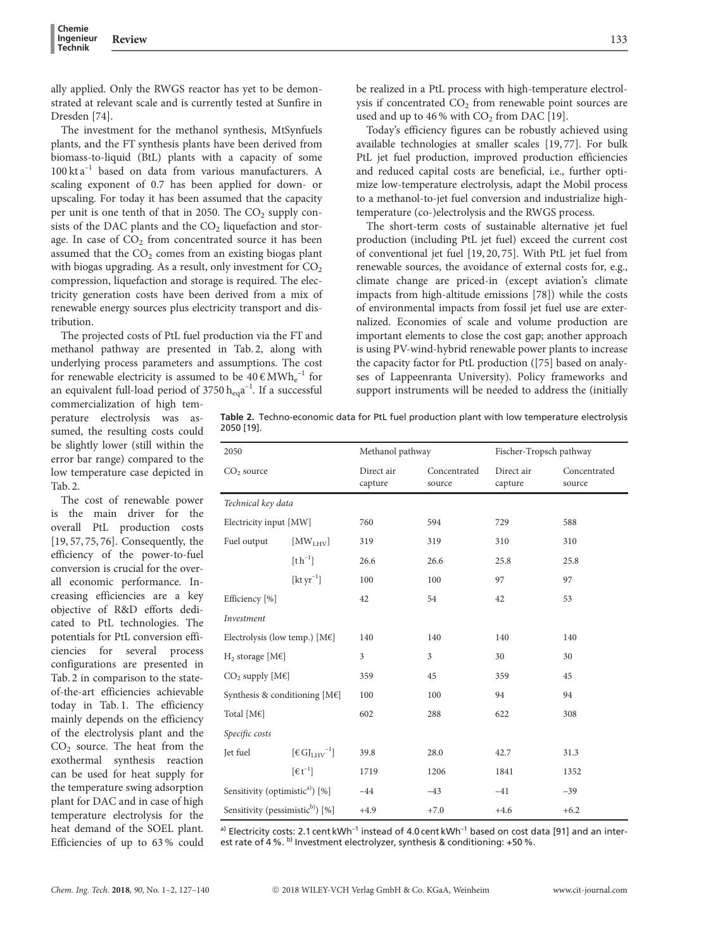ally applied. Only the RWGS reactor has yet to be demonstrated at relevant scale and is currently tested at Sunfire in Dresden [74].

The investment for the methanol synthesis, MtSynfuels plants, and the FT synthesis plants have been derived from biomass-to-liquid (BtL) plants with a capacity of some  $100$  kt a<sup>-1</sup> based on data from various manufacturers. A scaling exponent of 0.7 has been applied for down- or upscaling. For today it has been assumed that the capacity per unit is one tenth of that in 2050. The  $CO<sub>2</sub>$  supply consists of the DAC plants and the  $CO<sub>2</sub>$  liquefaction and storage. In case of  $CO<sub>2</sub>$  from concentrated source it has been assumed that the  $CO<sub>2</sub>$  comes from an existing biogas plant with biogas upgrading. As a result, only investment for  $CO<sub>2</sub>$ compression, liquefaction and storage is required. The electricity generation costs have been derived from a mix of renewable energy sources plus electricity transport and distribution.

The projected costs of PtL fuel production via the FT and methanol pathway are presented in Tab. 2, along with underlying process parameters and assumptions. The cost for renewable electricity is assumed to be  $40 \text{ }\epsilon \text{ MWh}_\text{e}^{-1}$  for an equivalent full-load period of 3750  $\rm h_{eq}a^{-1}$ . If a successful

be realized in a PtL process with high-temperature electrolysis if concentrated  $CO<sub>2</sub>$  from renewable point sources are used and up to  $46\%$  with  $CO<sub>2</sub>$  from DAC [19].

Today's efficiency figures can be robustly achieved using available technologies at smaller scales [19, 77]. For bulk PtL jet fuel production, improved production efficiencies and reduced capital costs are beneficial, i.e., further optimize low-temperature electrolysis, adapt the Mobil process to a methanol-to-jet fuel conversion and industrialize hightemperature (co-)electrolysis and the RWGS process.

The short-term costs of sustainable alternative jet fuel production (including PtL jet fuel) exceed the current cost of conventional jet fuel [19, 20, 75]. With PtL jet fuel from renewable sources, the avoidance of external costs for, e.g., climate change are priced-in (except aviation's climate impacts from high-altitude emissions [78]) while the costs of environmental impacts from fossil jet fuel use are externalized. Economies of scale and volume production are important elements to close the cost gap; another approach is using PV-wind-hybrid renewable power plants to increase the capacity factor for PtL production ([75] based on analyses of Lappeenranta University). Policy frameworks and support instruments will be needed to address the (initially

commercialization of high temperature electrolysis was assumed, the resulting costs could be slightly lower (still within the error bar range) compared to the low temperature case depicted in Tab. 2.

The cost of renewable power is the main driver for the overall PtL production costs [19, 57, 75, 76]. Consequently, the efficiency of the power-to-fuel conversion is crucial for the overall economic performance. Increasing efficiencies are a key objective of R&D efforts dedicated to PtL technologies. The potentials for PtL conversion efficiencies for several process configurations are presented in Tab. 2 in comparison to the stateof-the-art efficiencies achievable today in Tab. 1. The efficiency mainly depends on the efficiency of the electrolysis plant and the CO<sub>2</sub> source. The heat from the exothermal synthesis reaction can be used for heat supply for the temperature swing adsorption plant for DAC and in case of high temperature electrolysis for the heat demand of the SOEL plant. Efficiencies of up to 63 % could

|            |  |  | Table 2. Techno-economic data for PtL fuel production plant with low temperature electrolysis |  |
|------------|--|--|-----------------------------------------------------------------------------------------------|--|
| 2050 [19]. |  |  |                                                                                               |  |

| 2050                                         |                                         | Methanol pathway      |                        | Fischer-Tropsch pathway |                        |
|----------------------------------------------|-----------------------------------------|-----------------------|------------------------|-------------------------|------------------------|
| $CO2$ source                                 |                                         | Direct air<br>capture | Concentrated<br>source | Direct air<br>capture   | Concentrated<br>source |
| Technical key data                           |                                         |                       |                        |                         |                        |
| Electricity input [MW]                       |                                         | 760                   | 594                    | 729                     | 588                    |
| Fuel output                                  | [MW <sub>LHV</sub> ]                    | 319                   | 319                    | 310                     | 310                    |
|                                              | $[th^{-1}]$                             | 26.6                  | 26.6                   | 25.8                    | 25.8                   |
|                                              | $[kt yr^{-1}]$                          | 100                   | 100                    | 97                      | 97                     |
| Efficiency [%]                               |                                         | 42                    | 54                     | 42                      | 53                     |
| Investment                                   |                                         |                       |                        |                         |                        |
| Electrolysis (low temp.) $[M \in ]$          |                                         | 140                   | 140                    | 140                     | 140                    |
| $H_2$ storage [M $\varepsilon$ ]             |                                         | 3                     | 3                      | 30                      | 30                     |
| $CO2$ supply [M $\varepsilon$ ]              |                                         | 359                   | 45                     | 359                     | 45                     |
| Synthesis & conditioning $[ME]$              |                                         | 100                   | 100                    | 94                      | 94                     |
| Total [ $M \in$ ]                            |                                         | 602                   | 288                    | 622                     | 308                    |
| Specific costs                               |                                         |                       |                        |                         |                        |
| Jet fuel                                     | $\lceil \epsilon G J_{LHV}^{-1} \rceil$ | 39.8                  | 28.0                   | 42.7                    | 31.3                   |
|                                              | $\lceil \epsilon \, t^{-1} \rceil$      | 1719                  | 1206                   | 1841                    | 1352                   |
| Sensitivity (optimistic <sup>a)</sup> ) [%]  |                                         | $-44$                 | $-43$                  | $-41$                   | $-39$                  |
| Sensitivity (pessimistic <sup>b)</sup> ) [%] |                                         | $+4.9$                | $+7.0$                 | $+4.6$                  | $+6.2$                 |

a) Electricity costs: 2.1 cent kWh<sup>-1</sup> instead of 4.0 cent kWh<sup>-1</sup> based on cost data [91] and an interest rate of 4 %.  $^{b)}$  Investment electrolyzer, synthesis & conditioning: +50 %.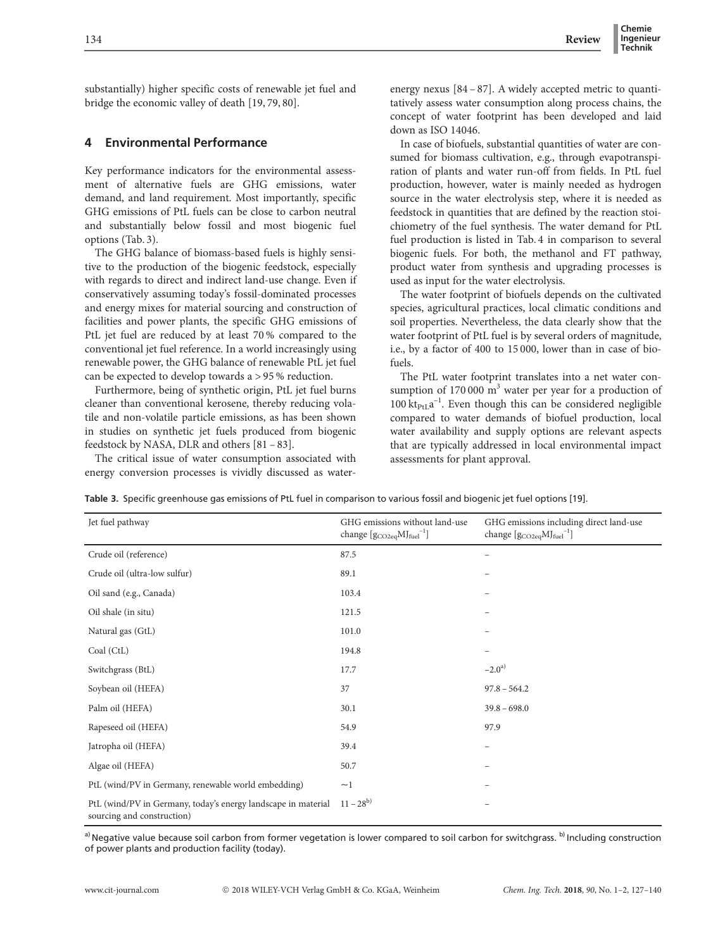substantially) higher specific costs of renewable jet fuel and bridge the economic valley of death [19, 79, 80].

# 4 Environmental Performance

Key performance indicators for the environmental assessment of alternative fuels are GHG emissions, water demand, and land requirement. Most importantly, specific GHG emissions of PtL fuels can be close to carbon neutral and substantially below fossil and most biogenic fuel options (Tab. 3).

The GHG balance of biomass-based fuels is highly sensitive to the production of the biogenic feedstock, especially with regards to direct and indirect land-use change. Even if conservatively assuming today's fossil-dominated processes and energy mixes for material sourcing and construction of facilities and power plants, the specific GHG emissions of PtL jet fuel are reduced by at least 70 % compared to the conventional jet fuel reference. In a world increasingly using renewable power, the GHG balance of renewable PtL jet fuel can be expected to develop towards a > 95 % reduction.

Furthermore, being of synthetic origin, PtL jet fuel burns cleaner than conventional kerosene, thereby reducing volatile and non-volatile particle emissions, as has been shown in studies on synthetic jet fuels produced from biogenic feedstock by NASA, DLR and others [81 – 83].

The critical issue of water consumption associated with energy conversion processes is vividly discussed as waterenergy nexus [84 – 87]. A widely accepted metric to quantitatively assess water consumption along process chains, the concept of water footprint has been developed and laid down as ISO 14046.

In case of biofuels, substantial quantities of water are consumed for biomass cultivation, e.g., through evapotranspiration of plants and water run-off from fields. In PtL fuel production, however, water is mainly needed as hydrogen source in the water electrolysis step, where it is needed as feedstock in quantities that are defined by the reaction stoichiometry of the fuel synthesis. The water demand for PtL fuel production is listed in Tab. 4 in comparison to several biogenic fuels. For both, the methanol and FT pathway, product water from synthesis and upgrading processes is used as input for the water electrolysis.

The water footprint of biofuels depends on the cultivated species, agricultural practices, local climatic conditions and soil properties. Nevertheless, the data clearly show that the water footprint of PtL fuel is by several orders of magnitude, i.e., by a factor of 400 to 15 000, lower than in case of biofuels.

The PtL water footprint translates into a net water consumption of  $170000 \text{ m}^3$  water per year for a production of  $100 \, \text{kt}_{\text{PtL}} a^{-1}$ . Even though this can be considered negligible compared to water demands of biofuel production, local water availability and supply options are relevant aspects that are typically addressed in local environmental impact assessments for plant approval.

Table 3. Specific greenhouse gas emissions of PtL fuel in comparison to various fossil and biogenic jet fuel options [19].

| Jet fuel pathway                                                                            | GHG emissions without land-use<br>change $[g_{\rm CO2eq} {\rm MJ_{fuel}}^{-1}]$ | GHG emissions including direct land-use<br>change [g <sub>CO2eq</sub> MJ <sub>fuel</sub> <sup>-1</sup> ] |
|---------------------------------------------------------------------------------------------|---------------------------------------------------------------------------------|----------------------------------------------------------------------------------------------------------|
| Crude oil (reference)                                                                       | 87.5                                                                            |                                                                                                          |
| Crude oil (ultra-low sulfur)                                                                | 89.1                                                                            |                                                                                                          |
| Oil sand (e.g., Canada)                                                                     | 103.4                                                                           |                                                                                                          |
| Oil shale (in situ)                                                                         | 121.5                                                                           |                                                                                                          |
| Natural gas (GtL)                                                                           | 101.0                                                                           |                                                                                                          |
| Coal (CtL)                                                                                  | 194.8                                                                           |                                                                                                          |
| Switchgrass (BtL)                                                                           | 17.7                                                                            | $-2.0^{a}$                                                                                               |
| Soybean oil (HEFA)                                                                          | 37                                                                              | $97.8 - 564.2$                                                                                           |
| Palm oil (HEFA)                                                                             | 30.1                                                                            | $39.8 - 698.0$                                                                                           |
| Rapeseed oil (HEFA)                                                                         | 54.9                                                                            | 97.9                                                                                                     |
| Jatropha oil (HEFA)                                                                         | 39.4                                                                            |                                                                                                          |
| Algae oil (HEFA)                                                                            | 50.7                                                                            |                                                                                                          |
| PtL (wind/PV in Germany, renewable world embedding)                                         | $\sim$ 1                                                                        |                                                                                                          |
| PtL (wind/PV in Germany, today's energy landscape in material<br>sourcing and construction) | $11 - 28^{b}$                                                                   | -                                                                                                        |

a) Negative value because soil carbon from former vegetation is lower compared to soil carbon for switchgrass. b) Including construction of power plants and production facility (today).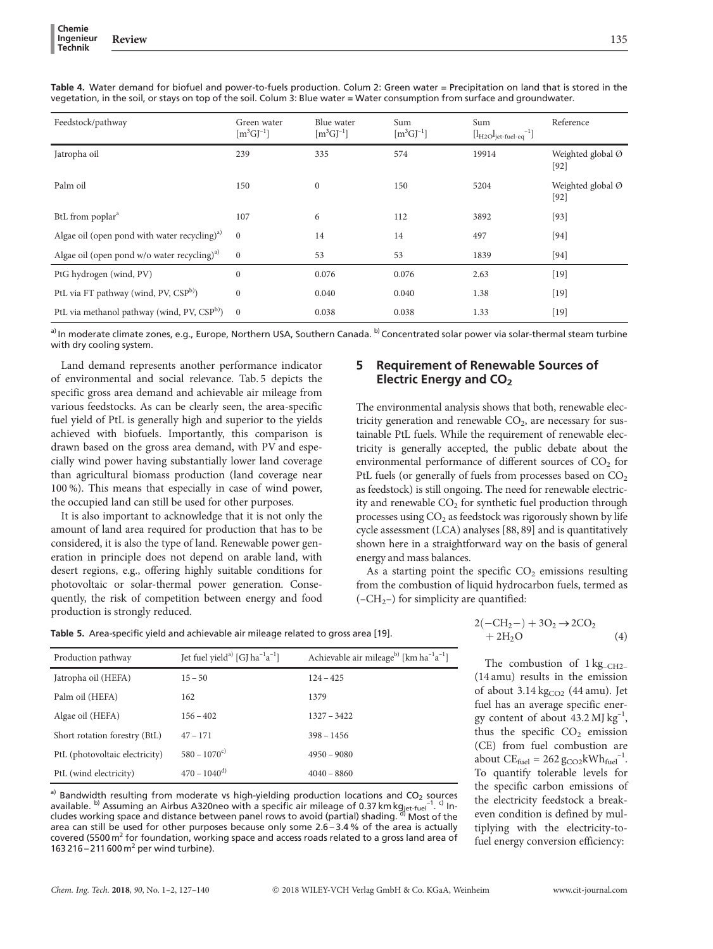| Feedstock/pathway                                         | Green water<br>$\lceil m^3 G \rceil^{-1} \rceil$ | Blue water<br>$\lceil m^3 G l^{-1} \rceil$ | Sum<br>$[m^3GJ^{-1}]$ | Sum<br>$[l_{H2O}l_{jet\text{-}fuel\text{-}eq}^{-1}]$ | Reference                   |
|-----------------------------------------------------------|--------------------------------------------------|--------------------------------------------|-----------------------|------------------------------------------------------|-----------------------------|
| Jatropha oil                                              | 239                                              | 335                                        | 574                   | 19914                                                | Weighted global Ø<br>$[92]$ |
| Palm oil                                                  | 150                                              | $\boldsymbol{0}$                           | 150                   | 5204                                                 | Weighted global Ø<br>$[92]$ |
| BtL from poplar <sup>a</sup>                              | 107                                              | 6                                          | 112                   | 3892                                                 | $[93]$                      |
| Algae oil (open pond with water recycling) <sup>a)</sup>  | $\mathbf{0}$                                     | 14                                         | 14                    | 497                                                  | $[94]$                      |
| Algae oil (open pond $w/o$ water recycling) <sup>a)</sup> | $\mathbf{0}$                                     | 53                                         | 53                    | 1839                                                 | $[94]$                      |
| PtG hydrogen (wind, PV)                                   | $\mathbf{0}$                                     | 0.076                                      | 0.076                 | 2.63                                                 | $[19]$                      |
| PtL via FT pathway (wind, PV, CSP <sup>b)</sup> )         | $\mathbf{0}$                                     | 0.040                                      | 0.040                 | 1.38                                                 | $[19]$                      |
| PtL via methanol pathway (wind, PV, CSP <sup>b)</sup> )   | $\overline{0}$                                   | 0.038                                      | 0.038                 | 1.33                                                 | $[19]$                      |

Table 4. Water demand for biofuel and power-to-fuels production. Colum 2: Green water = Precipitation on land that is stored in the vegetation, in the soil, or stays on top of the soil. Colum 3: Blue water = Water consumption from surface and groundwater.

a) In moderate climate zones, e.g., Europe, Northern USA, Southern Canada. <sup>b)</sup> Concentrated solar power via solar-thermal steam turbine with dry cooling system.

Land demand represents another performance indicator of environmental and social relevance. Tab. 5 depicts the specific gross area demand and achievable air mileage from various feedstocks. As can be clearly seen, the area-specific fuel yield of PtL is generally high and superior to the yields achieved with biofuels. Importantly, this comparison is drawn based on the gross area demand, with PV and especially wind power having substantially lower land coverage than agricultural biomass production (land coverage near 100 %). This means that especially in case of wind power, the occupied land can still be used for other purposes.

It is also important to acknowledge that it is not only the amount of land area required for production that has to be considered, it is also the type of land. Renewable power generation in principle does not depend on arable land, with desert regions, e.g., offering highly suitable conditions for photovoltaic or solar-thermal power generation. Consequently, the risk of competition between energy and food production is strongly reduced.

# 5 Requirement of Renewable Sources of Electric Energy and CO<sub>2</sub>

The environmental analysis shows that both, renewable electricity generation and renewable  $CO<sub>2</sub>$ , are necessary for sustainable PtL fuels. While the requirement of renewable electricity is generally accepted, the public debate about the environmental performance of different sources of  $CO<sub>2</sub>$  for PtL fuels (or generally of fuels from processes based on CO<sub>2</sub> as feedstock) is still ongoing. The need for renewable electricity and renewable  $CO<sub>2</sub>$  for synthetic fuel production through processes using  $CO<sub>2</sub>$  as feedstock was rigorously shown by life cycle assessment (LCA) analyses [88, 89] and is quantitatively shown here in a straightforward way on the basis of general energy and mass balances.

As a starting point the specific  $CO<sub>2</sub>$  emissions resulting from the combustion of liquid hydrocarbon fuels, termed as  $(-CH<sub>2</sub>-)$  for simplicity are quantified:

Table 5. Area-specific yield and achievable air mileage related to gross area [19].

| Production pathway             | Jet fuel yield <sup>a)</sup> [GJ ha <sup>-1</sup> a <sup>-1</sup> ] | Achievable air mileage <sup>b)</sup> [km ha <sup>-1</sup> a <sup>-1</sup> ] |
|--------------------------------|---------------------------------------------------------------------|-----------------------------------------------------------------------------|
| Jatropha oil (HEFA)            | $15 - 50$                                                           | $124 - 425$                                                                 |
| Palm oil (HEFA)                | 162                                                                 | 1379                                                                        |
| Algae oil (HEFA)               | $156 - 402$                                                         | $1327 - 3422$                                                               |
| Short rotation forestry (BtL)  | $47 - 171$                                                          | $398 - 1456$                                                                |
| PtL (photovoltaic electricity) | $580 - 1070^{\circ}$                                                | $4950 - 9080$                                                               |
| PtL (wind electricity)         | $470 - 1040^{d}$                                                    | $4040 - 8860$                                                               |

a) Bandwidth resulting from moderate vs high-yielding production locations and  $CO<sub>2</sub>$  sources available.  $^{b)}$  Assuming an Airbus A320neo with a specific air mileage of 0.37 km kg<sub>jet-fuel</sub><sup>-1</sup>. <sup>c)</sup> In-<br>cludes working space and distance between panel rows to avoid (partial) shading. <sup>d)</sup> Most of the cludes working space and distance between panel rows to avoid (partial) shading. area can still be used for other purposes because only some 2.6 – 3.4 % of the area is actually covered (5500  $\text{m}^2$  for foundation, working space and access roads related to a gross land area of 163 216 – 211 600  $m^2$  per wind turbine).

$$
2(-CH2-)+3O2 \rightarrow 2CO2 +2H2O \t(4)
$$

The combustion of  $1 \text{ kg}_{\text{CH2}-}$ (14 amu) results in the emission of about  $3.14 \text{ kg}$ <sub>CO2</sub> (44 amu). Jet fuel has an average specific energy content of about  $43.2$  MJ kg<sup>-1</sup>, thus the specific  $CO<sub>2</sub>$  emission (CE) from fuel combustion are about  $CE_{fuel} = 262 g<sub>CO2</sub>kWh<sub>fuel</sub><sup>-1</sup>.$ To quantify tolerable levels for the specific carbon emissions of the electricity feedstock a breakeven condition is defined by multiplying with the electricity-tofuel energy conversion efficiency: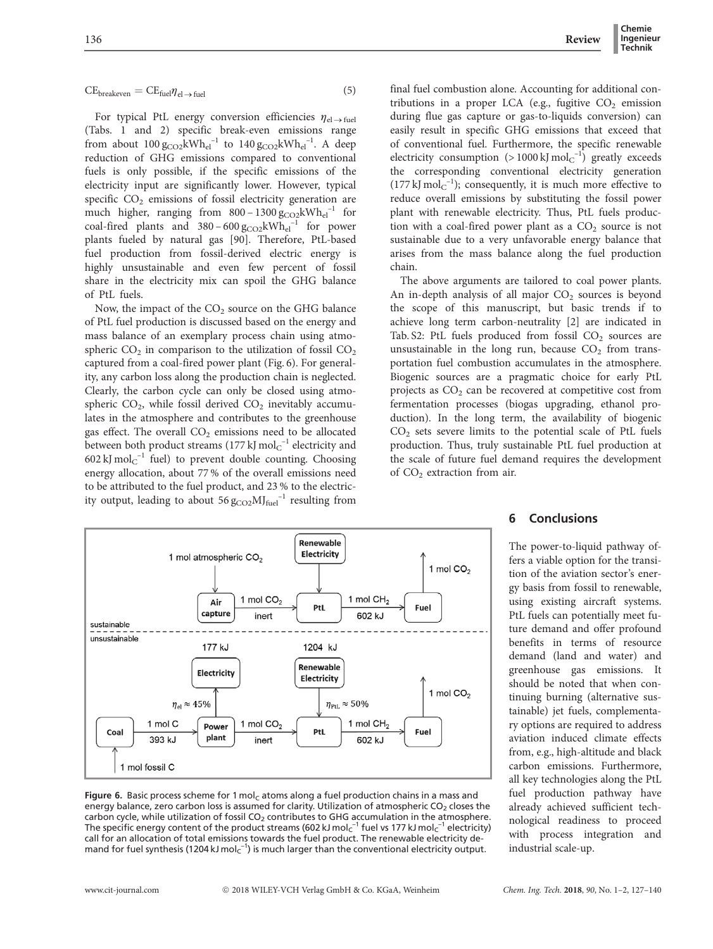#### $CE_{\text{breakeven}} = CE_{\text{fuel}} \eta_{\text{el}\rightarrow\text{fuel}}$  (5)

For typical PtL energy conversion efficiencies  $\eta_{el \to fuel}$ (Tabs. 1 and 2) specific break-even emissions range from about  $100 g_{CO2} kWh_{el}^{-1}$  to  $140 g_{CO2} kWh_{el}^{-1}$ . A deep reduction of GHG emissions compared to conventional fuels is only possible, if the specific emissions of the electricity input are significantly lower. However, typical specific  $CO<sub>2</sub>$  emissions of fossil electricity generation are much higher, ranging from  $800 - 1300 g_{CO2} kWh_{el}^{-1}$  for coal-fired plants and  $380 - 600 g_{CO2} kWh_{el}^{-1}$  for power plants fueled by natural gas [90]. Therefore, PtL-based fuel production from fossil-derived electric energy is highly unsustainable and even few percent of fossil share in the electricity mix can spoil the GHG balance of PtL fuels.

Now, the impact of the  $CO<sub>2</sub>$  source on the GHG balance of PtL fuel production is discussed based on the energy and mass balance of an exemplary process chain using atmospheric  $CO<sub>2</sub>$  in comparison to the utilization of fossil  $CO<sub>2</sub>$ captured from a coal-fired power plant (Fig. 6). For generality, any carbon loss along the production chain is neglected. Clearly, the carbon cycle can only be closed using atmospheric  $CO<sub>2</sub>$ , while fossil derived  $CO<sub>2</sub>$  inevitably accumulates in the atmosphere and contributes to the greenhouse gas effect. The overall  $CO<sub>2</sub>$  emissions need to be allocated between both product streams (177 kJ  $\mathrm{mol_{C}}^{-1}$  electricity and 602 kJ mol $_{\text{C}}^{-1}$  fuel) to prevent double counting. Choosing energy allocation, about 77 % of the overall emissions need to be attributed to the fuel product, and 23 % to the electricity output, leading to about  $56 \text{ g}_{\text{CO2}} \text{MI}_{\text{fuel}}^{-1}$  resulting from



#### Figure 6. Basic process scheme for 1 mol<sub>c</sub> atoms along a fuel production chains in a mass and energy balance, zero carbon loss is assumed for clarity. Utilization of atmospheric CO<sub>2</sub> closes the carbon cycle, while utilization of fossil  $CO<sub>2</sub>$  contributes to GHG accumulation in the atmosphere. The specific energy content of the product streams (602 kJ mol $\rm c^{-1}$  fuel vs 177 kJ mol $\rm c^{-1}$  electricity) call for an allocation of total emissions towards the fuel product. The renewable electricity demand for fuel synthesis (1204 kJ mol $c^{-1}$ ) is much larger than the conventional electricity output.

final fuel combustion alone. Accounting for additional contributions in a proper LCA (e.g., fugitive  $CO<sub>2</sub>$  emission during flue gas capture or gas-to-liquids conversion) can easily result in specific GHG emissions that exceed that of conventional fuel. Furthermore, the specific renewable electricity consumption  $(>1000 \text{ kJ mol}^{-1})$  greatly exceeds the corresponding conventional electricity generation  $(177 \text{ kJ mol}^{-1})$ ; consequently, it is much more effective to reduce overall emissions by substituting the fossil power plant with renewable electricity. Thus, PtL fuels production with a coal-fired power plant as a  $CO<sub>2</sub>$  source is not sustainable due to a very unfavorable energy balance that arises from the mass balance along the fuel production chain.

The above arguments are tailored to coal power plants. An in-depth analysis of all major  $CO<sub>2</sub>$  sources is beyond the scope of this manuscript, but basic trends if to achieve long term carbon-neutrality [2] are indicated in Tab. S2: PtL fuels produced from fossil  $CO<sub>2</sub>$  sources are unsustainable in the long run, because  $CO<sub>2</sub>$  from transportation fuel combustion accumulates in the atmosphere. Biogenic sources are a pragmatic choice for early PtL projects as  $CO<sub>2</sub>$  can be recovered at competitive cost from fermentation processes (biogas upgrading, ethanol production). In the long term, the availability of biogenic CO2 sets severe limits to the potential scale of PtL fuels production. Thus, truly sustainable PtL fuel production at the scale of future fuel demand requires the development of  $CO<sub>2</sub>$  extraction from air.

#### 6 Conclusions

The power-to-liquid pathway offers a viable option for the transition of the aviation sector's energy basis from fossil to renewable, using existing aircraft systems. PtL fuels can potentially meet future demand and offer profound benefits in terms of resource demand (land and water) and greenhouse gas emissions. It should be noted that when continuing burning (alternative sustainable) jet fuels, complementary options are required to address aviation induced climate effects from, e.g., high-altitude and black carbon emissions. Furthermore, all key technologies along the PtL fuel production pathway have already achieved sufficient technological readiness to proceed with process integration and industrial scale-up.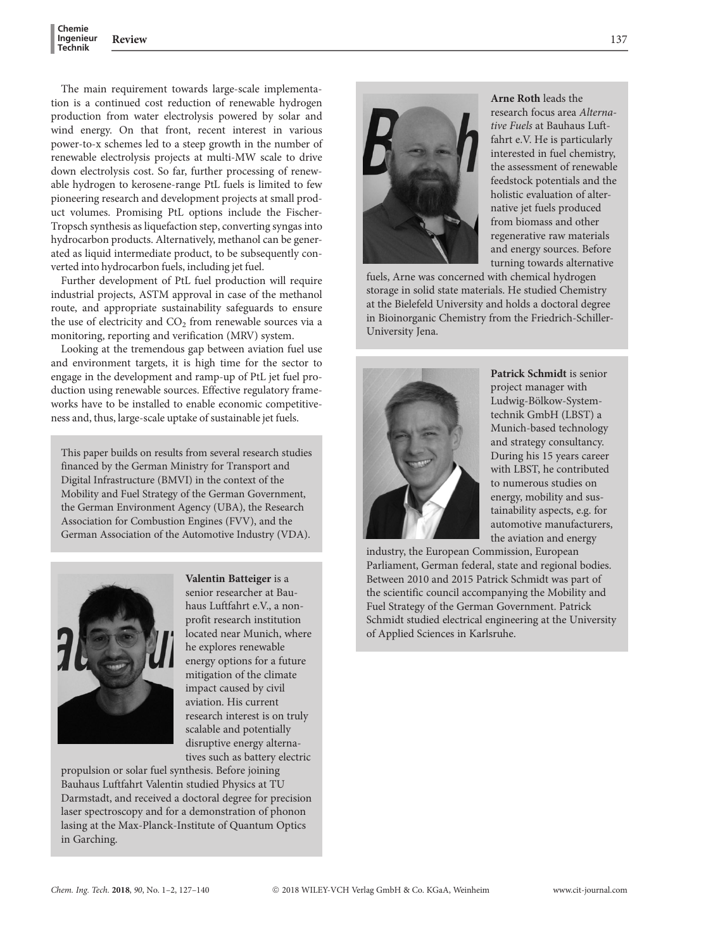The main requirement towards large-scale implementation is a continued cost reduction of renewable hydrogen production from water electrolysis powered by solar and wind energy. On that front, recent interest in various power-to-x schemes led to a steep growth in the number of renewable electrolysis projects at multi-MW scale to drive down electrolysis cost. So far, further processing of renewable hydrogen to kerosene-range PtL fuels is limited to few pioneering research and development projects at small product volumes. Promising PtL options include the Fischer-Tropsch synthesis as liquefaction step, converting syngas into hydrocarbon products. Alternatively, methanol can be generated as liquid intermediate product, to be subsequently converted into hydrocarbon fuels, including jet fuel.

Further development of PtL fuel production will require industrial projects, ASTM approval in case of the methanol route, and appropriate sustainability safeguards to ensure the use of electricity and  $CO<sub>2</sub>$  from renewable sources via a monitoring, reporting and verification (MRV) system.

Looking at the tremendous gap between aviation fuel use and environment targets, it is high time for the sector to engage in the development and ramp-up of PtL jet fuel production using renewable sources. Effective regulatory frameworks have to be installed to enable economic competitiveness and, thus, large-scale uptake of sustainable jet fuels.

This paper builds on results from several research studies financed by the German Ministry for Transport and Digital Infrastructure (BMVI) in the context of the Mobility and Fuel Strategy of the German Government, the German Environment Agency (UBA), the Research Association for Combustion Engines (FVV), and the German Association of the Automotive Industry (VDA).



Valentin Batteiger is a senior researcher at Bauhaus Luftfahrt e.V., a nonprofit research institution located near Munich, where he explores renewable energy options for a future mitigation of the climate impact caused by civil aviation. His current research interest is on truly scalable and potentially disruptive energy alternatives such as battery electric

propulsion or solar fuel synthesis. Before joining Bauhaus Luftfahrt Valentin studied Physics at TU Darmstadt, and received a doctoral degree for precision laser spectroscopy and for a demonstration of phonon lasing at the Max-Planck-Institute of Quantum Optics in Garching.



Arne Roth leads the research focus area Alternative Fuels at Bauhaus Luftfahrt e.V. He is particularly interested in fuel chemistry, the assessment of renewable feedstock potentials and the holistic evaluation of alternative jet fuels produced from biomass and other regenerative raw materials and energy sources. Before turning towards alternative

fuels, Arne was concerned with chemical hydrogen storage in solid state materials. He studied Chemistry at the Bielefeld University and holds a doctoral degree in Bioinorganic Chemistry from the Friedrich-Schiller-University Jena.



Patrick Schmidt is senior project manager with Ludwig-Bölkow-Systemtechnik GmbH (LBST) a Munich-based technology and strategy consultancy. During his 15 years career with LBST, he contributed to numerous studies on energy, mobility and sustainability aspects, e.g. for automotive manufacturers, the aviation and energy

industry, the European Commission, European Parliament, German federal, state and regional bodies. Between 2010 and 2015 Patrick Schmidt was part of the scientific council accompanying the Mobility and Fuel Strategy of the German Government. Patrick Schmidt studied electrical engineering at the University of Applied Sciences in Karlsruhe.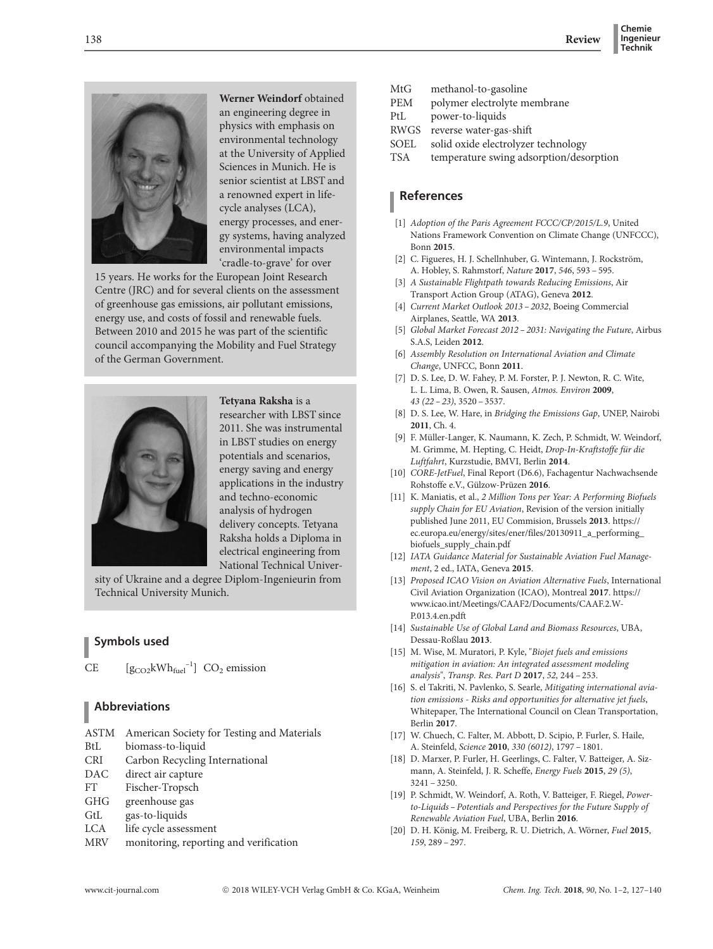

Werner Weindorf obtained an engineering degree in physics with emphasis on environmental technology at the University of Applied Sciences in Munich. He is senior scientist at LBST and a renowned expert in lifecycle analyses (LCA), energy processes, and energy systems, having analyzed environmental impacts 'cradle-to-grave' for over

15 years. He works for the European Joint Research Centre (JRC) and for several clients on the assessment of greenhouse gas emissions, air pollutant emissions, energy use, and costs of fossil and renewable fuels. Between 2010 and 2015 he was part of the scientific council accompanying the Mobility and Fuel Strategy of the German Government.



Tetyana Raksha is a researcher with LBST since 2011. She was instrumental in LBST studies on energy potentials and scenarios, energy saving and energy applications in the industry and techno-economic analysis of hydrogen delivery concepts. Tetyana Raksha holds a Diploma in electrical engineering from National Technical Univer-

sity of Ukraine and a degree Diplom-Ingenieurin from Technical University Munich.

# Symbols used

CE  $[g_{CO2}kWh_{fuel}^{-1}]$  CO<sub>2</sub> emission

Abbreviations

ASTM American Society for Testing and Materials BtL biomass-to-liquid CRI Carbon Recycling International DAC direct air capture FT Fischer-Tropsch GHG greenhouse gas

- GtL gas-to-liquids
- LCA life cycle assessment
- MRV monitoring, reporting and verification
- MtG methanol-to-gasoline<br>PEM polymer electrolyte m
- polymer electrolyte membrane
- PtL power-to-liquids
- RWGS reverse water-gas-shift
- SOEL solid oxide electrolyzer technology
- TSA temperature swing adsorption/desorption

# References

- [1] Adoption of the Paris Agreement FCCC/CP/2015/L.9, United Nations Framework Convention on Climate Change (UNFCCC), Bonn 2015.
- [2] C. Figueres, H. J. Schellnhuber, G. Wintemann, J. Rockström, A. Hobley, S. Rahmstorf, Nature 2017, 546, 593 – 595.
- [3] A Sustainable Flightpath towards Reducing Emissions, Air Transport Action Group (ATAG), Geneva 2012.
- [4] Current Market Outlook 2013 2032, Boeing Commercial Airplanes, Seattle, WA 2013.
- [5] Global Market Forecast 2012 2031: Navigating the Future, Airbus S.A.S, Leiden 2012.
- [6] Assembly Resolution on International Aviation and Climate Change, UNFCC, Bonn 2011.
- [7] D. S. Lee, D. W. Fahey, P. M. Forster, P. J. Newton, R. C. Wite, L. L. Lima, B. Owen, R. Sausen, Atmos. Environ 2009, 43 (22 – 23), 3520 – 3537.
- [8] D. S. Lee, W. Hare, in Bridging the Emissions Gap, UNEP, Nairobi 2011, Ch. 4.
- [9] F. Müller-Langer, K. Naumann, K. Zech, P. Schmidt, W. Weindorf, M. Grimme, M. Hepting, C. Heidt, Drop-In-Kraftstoffe für die Luftfahrt, Kurzstudie, BMVI, Berlin 2014.
- [10] CORE-JetFuel, Final Report (D6.6), Fachagentur Nachwachsende Rohstoffe e.V., Gülzow-Prüzen 2016.
- [11] K. Maniatis, et al., 2 Million Tons per Year: A Performing Biofuels supply Chain for EU Aviation, Revision of the version initially published June 2011, EU Commision, Brussels 2013. https:// ec.europa.eu/energy/sites/ener/files/20130911\_a\_performing\_ biofuels\_supply\_chain.pdf
- [12] IATA Guidance Material for Sustainable Aviation Fuel Management, 2 ed., IATA, Geneva 2015.
- [13] Proposed ICAO Vision on Aviation Alternative Fuels, International Civil Aviation Organization (ICAO), Montreal 2017. https:// www.icao.int/Meetings/CAAF2/Documents/CAAF.2.W-P.013.4.en.pdft
- [14] Sustainable Use of Global Land and Biomass Resources, UBA, Dessau-Roßlau 2013.
- [15] M. Wise, M. Muratori, P. Kyle, "Biojet fuels and emissions mitigation in aviation: An integrated assessment modeling analysis", Transp. Res. Part D 2017, 52, 244 – 253.
- [16] S. el Takriti, N. Pavlenko, S. Searle, Mitigating international aviation emissions - Risks and opportunities for alternative jet fuels, Whitepaper, The International Council on Clean Transportation, Berlin 2017.
- [17] W. Chuech, C. Falter, M. Abbott, D. Scipio, P. Furler, S. Haile, A. Steinfeld, Science 2010, 330 (6012), 1797 – 1801.
- [18] D. Marxer, P. Furler, H. Geerlings, C. Falter, V. Batteiger, A. Sizmann, A. Steinfeld, J. R. Scheffe, Energy Fuels 2015, 29 (5), 3241 – 3250.
- [19] P. Schmidt, W. Weindorf, A. Roth, V. Batteiger, F. Riegel, Powerto-Liquids – Potentials and Perspectives for the Future Supply of Renewable Aviation Fuel, UBA, Berlin 2016.
- [20] D. H. König, M. Freiberg, R. U. Dietrich, A. Wörner, Fuel 2015, 159, 289 – 297.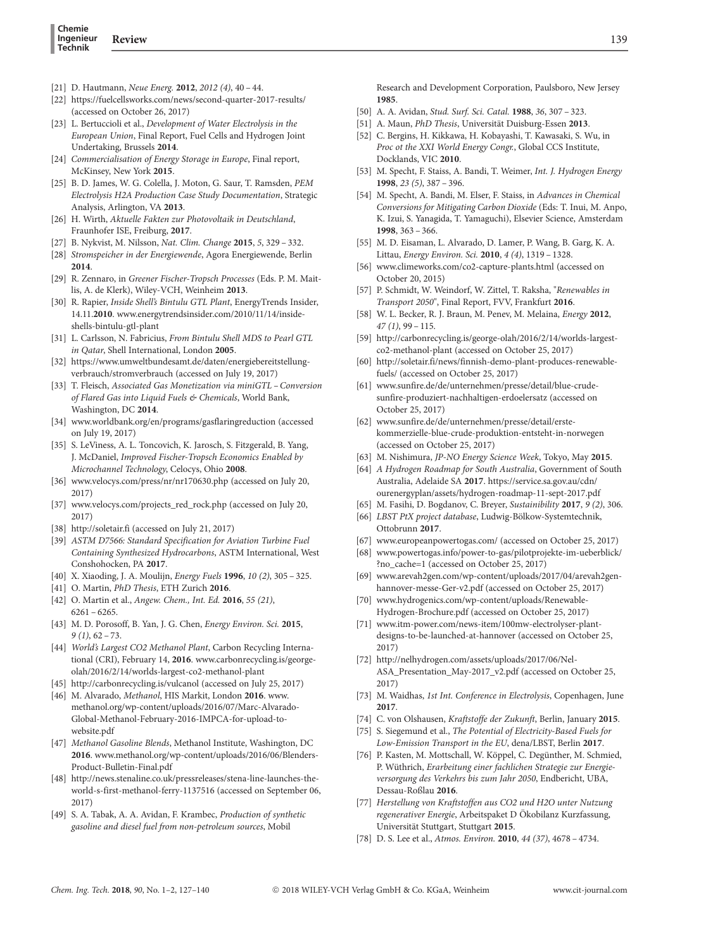- [21] D. Hautmann, Neue Energ. 2012, 2012 (4), 40 44.
- [22] https://fuelcellsworks.com/news/second-quarter-2017-results/ (accessed on October 26, 2017)
- [23] L. Bertuccioli et al., Development of Water Electrolysis in the European Union, Final Report, Fuel Cells and Hydrogen Joint Undertaking, Brussels 2014.
- [24] Commercialisation of Energy Storage in Europe, Final report, McKinsey, New York 2015.
- [25] B. D. James, W. G. Colella, J. Moton, G. Saur, T. Ramsden, PEM Electrolysis H2A Production Case Study Documentation, Strategic Analysis, Arlington, VA 2013.
- [26] H. Wirth, Aktuelle Fakten zur Photovoltaik in Deutschland, Fraunhofer ISE, Freiburg, 2017.
- [27] B. Nykvist, M. Nilsson, Nat. Clim. Change 2015, 5, 329 332.
- [28] Stromspeicher in der Energiewende, Agora Energiewende, Berlin 2014.
- [29] R. Zennaro, in Greener Fischer-Tropsch Processes (Eds. P. M. Maitlis, A. de Klerk), Wiley-VCH, Weinheim 2013.
- [30] R. Rapier, Inside Shell's Bintulu GTL Plant, EnergyTrends Insider, 14.11.2010. www.energytrendsinsider.com/2010/11/14/insideshells-bintulu-gtl-plant
- [31] L. Carlsson, N. Fabricius, From Bintulu Shell MDS to Pearl GTL in Qatar, Shell International, London 2005.
- [32] https://www.umweltbundesamt.de/daten/energiebereitstellungverbrauch/stromverbrauch (accessed on July 19, 2017)
- [33] T. Fleisch, Associated Gas Monetization via miniGTL Conversion of Flared Gas into Liquid Fuels & Chemicals, World Bank, Washington, DC 2014.
- [34] www.worldbank.org/en/programs/gasflaringreduction (accessed on July 19, 2017)
- [35] S. LeViness, A. L. Toncovich, K. Jarosch, S. Fitzgerald, B. Yang, J. McDaniel, Improved Fischer-Tropsch Economics Enabled by Microchannel Technology, Celocys, Ohio 2008.
- [36] www.velocys.com/press/nr/nr170630.php (accessed on July 20, 2017)
- [37] www.velocys.com/projects\_red\_rock.php (accessed on July 20, 2017)
- [38] http://soletair.fi (accessed on July 21, 2017)
- [39] ASTM D7566: Standard Specification for Aviation Turbine Fuel Containing Synthesized Hydrocarbons, ASTM International, West Conshohocken, PA 2017.
- [40] X. Xiaoding, J. A. Moulijn, Energy Fuels 1996, 10 (2), 305 325.
- [41] O. Martin, PhD Thesis, ETH Zurich 2016.
- [42] O. Martin et al., Angew. Chem., Int. Ed. 2016, 55 (21), 6261 – 6265.
- [43] M. D. Porosoff, B. Yan, J. G. Chen, Energy Environ. Sci. 2015,  $9(1), 62 - 73$
- [44] World's Largest CO2 Methanol Plant, Carbon Recycling International (CRI), February 14, 2016. www.carbonrecycling.is/georgeolah/2016/2/14/worlds-largest-co2-methanol-plant
- [45] http://carbonrecycling.is/vulcanol (accessed on July 25, 2017)
- [46] M. Alvarado, Methanol, HIS Markit, London 2016. www. methanol.org/wp-content/uploads/2016/07/Marc-Alvarado-Global-Methanol-February-2016-IMPCA-for-upload-towebsite.pdf
- [47] Methanol Gasoline Blends, Methanol Institute, Washington, DC 2016. www.methanol.org/wp-content/uploads/2016/06/Blenders-Product-Bulletin-Final.pdf
- [48] http://news.stenaline.co.uk/pressreleases/stena-line-launches-theworld-s-first-methanol-ferry-1137516 (accessed on September 06, 2017)
- [49] S. A. Tabak, A. A. Avidan, F. Krambec, Production of synthetic gasoline and diesel fuel from non-petroleum sources, Mobil

Research and Development Corporation, Paulsboro, New Jersey 1985.

- [50] A. A. Avidan, Stud. Surf. Sci. Catal. 1988, 36, 307 323.
- [51] A. Maun, *PhD Thesis*, Universität Duisburg-Essen 2013.
- [52] C. Bergins, H. Kikkawa, H. Kobayashi, T. Kawasaki, S. Wu, in Proc ot the XXI World Energy Congr., Global CCS Institute, Docklands, VIC 2010.
- [53] M. Specht, F. Staiss, A. Bandi, T. Weimer, Int. J. Hydrogen Energy 1998, 23 (5), 387 – 396.
- [54] M. Specht, A. Bandi, M. Elser, F. Staiss, in Advances in Chemical Conversions for Mitigating Carbon Dioxide (Eds: T. Inui, M. Anpo, K. Izui, S. Yanagida, T. Yamaguchi), Elsevier Science, Amsterdam 1998, 363 – 366.
- [55] M. D. Eisaman, L. Alvarado, D. Lamer, P. Wang, B. Garg, K. A. Littau, Energy Environ. Sci. 2010, 4 (4), 1319 – 1328.
- [56] www.climeworks.com/co2-capture-plants.html (accessed on October 20, 2015)
- [57] P. Schmidt, W. Weindorf, W. Zittel, T. Raksha, "Renewables in Transport 2050", Final Report, FVV, Frankfurt 2016.
- [58] W. L. Becker, R. J. Braun, M. Penev, M. Melaina, Energy 2012,  $47$  (1), 99 – 115.
- [59] http://carbonrecycling.is/george-olah/2016/2/14/worlds-largestco2-methanol-plant (accessed on October 25, 2017)
- [60] http://soletair.fi/news/finnish-demo-plant-produces-renewablefuels/ (accessed on October 25, 2017)
- [61] www.sunfire.de/de/unternehmen/presse/detail/blue-crudesunfire-produziert-nachhaltigen-erdoelersatz (accessed on October 25, 2017)
- [62] www.sunfire.de/de/unternehmen/presse/detail/erstekommerzielle-blue-crude-produktion-entsteht-in-norwegen (accessed on October 25, 2017)
- [63] M. Nishimura, JP-NO Energy Science Week, Tokyo, May 2015.
- [64] A Hydrogen Roadmap for South Australia, Government of South Australia, Adelaide SA 2017. https://service.sa.gov.au/cdn/ ourenergyplan/assets/hydrogen-roadmap-11-sept-2017.pdf
- [65] M. Fasihi, D. Bogdanov, C. Breyer, Sustainibility 2017, 9 (2), 306.
- [66] LBST PtX project database, Ludwig-Bölkow-Systemtechnik, Ottobrunn 2017.
- [67] www.europeanpowertogas.com/ (accessed on October 25, 2017)
- [68] www.powertogas.info/power-to-gas/pilotprojekte-im-ueberblick/ ?no\_cache=1 (accessed on October 25, 2017)
- [69] www.arevah2gen.com/wp-content/uploads/2017/04/arevah2genhannover-messe-Ger-v2.pdf (accessed on October 25, 2017)
- [70] www.hydrogenics.com/wp-content/uploads/Renewable-Hydrogen-Brochure.pdf (accessed on October 25, 2017)
- [71] www.itm-power.com/news-item/100mw-electrolyser-plantdesigns-to-be-launched-at-hannover (accessed on October 25, 2017)
- [72] http://nelhydrogen.com/assets/uploads/2017/06/Nel-ASA\_Presentation\_May-2017\_v2.pdf (accessed on October 25, 2017)
- [73] M. Waidhas, 1st Int. Conference in Electrolysis, Copenhagen, June 2017.
- [74] C. von Olshausen, Kraftstoffe der Zukunft, Berlin, January 2015.
- [75] S. Siegemund et al., The Potential of Electricity-Based Fuels for Low-Emission Transport in the EU, dena/LBST, Berlin 2017.
- [76] P. Kasten, M. Mottschall, W. Köppel, C. Degünther, M. Schmied, P. Wüthrich, Erarbeitung einer fachlichen Strategie zur Energieversorgung des Verkehrs bis zum Jahr 2050, Endbericht, UBA, Dessau-Roßlau 2016.
- [77] Herstellung von Kraftstoffen aus CO2 und H2O unter Nutzung regenerativer Energie, Arbeitspaket D Ökobilanz Kurzfassung, Universität Stuttgart, Stuttgart 2015.
- [78] D. S. Lee et al., Atmos. Environ. 2010, 44 (37), 4678 4734.